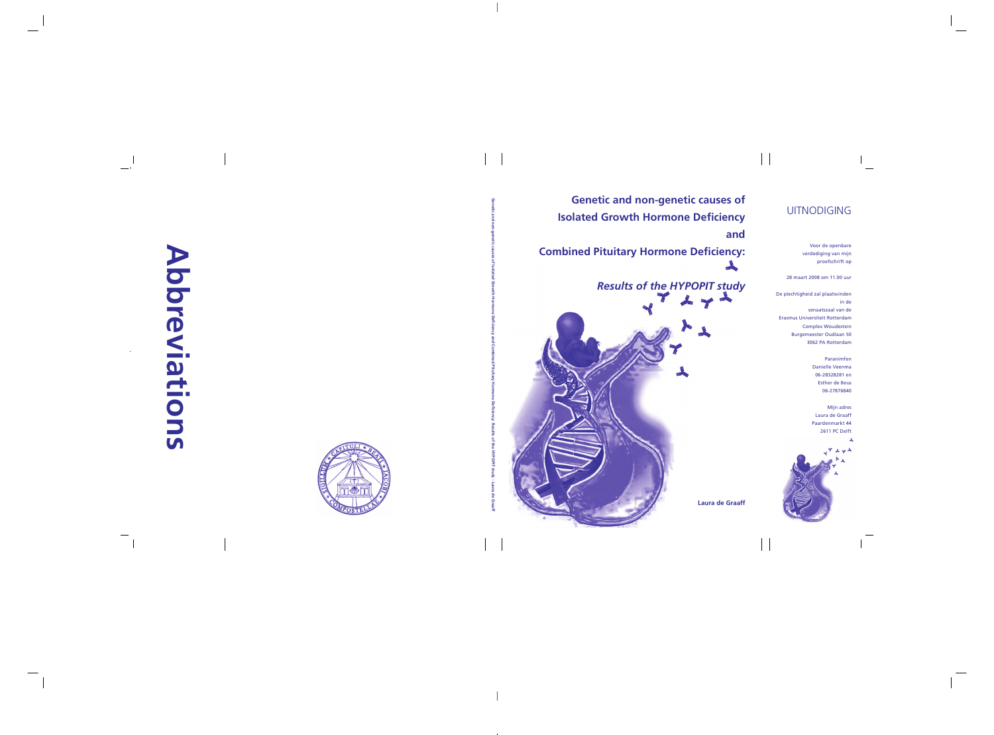De plechtigheid zal plaatsvinden De plechtigheid zal plaatsvinden in de in de senaatszaal van de senaatszaal van de Erasmus Universiteit Rotterdam Erasmus Universiteit Rotterdam Complex Woudestein Complex Woudestein Burgemeester Oudlaan 50 Burgemeester Oudlaan 50 3062 PA Rotterdam 3062 PA Rotterdam proefschrift op<br>28 maart 2008 om 11.00 uur<br>28 maart 2008 om 11.00 uur<br>28 maart 2018 plaatsvinden<br>10 metarus Universiteit Rotterdam<br>28 maart Burgemeester Oudlaan<br>29 metarus Universiteit Burgemeester Oudlaan

> Paranimfen Paranimfen Danielle Veenma Danielle Veenma 06-28328281 en 06-28328281 en Esther de Beus Esther de Beus 06-27876840 06-27876840 Paranimfen<br>Danielle Veenma<br>06-28328281 en<br>Esther de Beus

## **Abbreviations Abbreviations**



## UITNODIGING UITNODIGING

Voor de openbare Voor de openbare verdediging van mijn verdediging van mijn proefschrift op proefschrift op

28 maart 2008 om 11.00 uur 28 maart 2008 om 11.00 uur

**Genetic and non-genetic causes of Isolated Growth Hormone Deficiency and Combined Pituitary Hormone Deficiency: Results of the HYPOPIT stud**

 **- Laura de Graaff**

*Results of the HYPOPIT study Results of the HYPOPIT study Results of HYPOPIT study*

**Laura de Graaff Laura de Graaff Laura de** 

Mijn adres Mijn adres Laura de Graaff Laura de Graaff Paardenmarkt 44 Paardenmarkt 44 de GraaffPaardenmarkt 2611 PC Delft 2611 PC Delft



**Genetic and non-genetic causes of Genetic and non-genetic causes of Isolated Growth Hormone Deficiency Isolated Growth Hormone Deficiency and and**  Genetic and non-genetic causes of<br> **Isolated Growth Hormone Deficiency<br>
and Combined Pituitary Hormone Deficiency:** 

 $\checkmark$  **Laura** 

**Genetic and non-genetic causes of Isolated Growth Hormone Deficiency and Combined Pituitary Hormone Deficiency: Results of the HYPOPIT stud**

 $\leq$ 

 $\checkmark$ 

 **- Laura de Graaff**